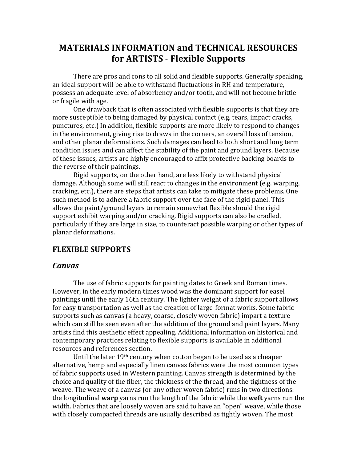# **MATERIALS INFORMATION and TECHNICAL RESOURCES for ARTISTS** - **Flexible Supports**

There are pros and cons to all solid and flexible supports. Generally speaking, an ideal support will be able to withstand fluctuations in RH and temperature, possess an adequate level of absorbency and/or tooth, and will not become brittle or fragile with age.

One drawback that is often associated with flexible supports is that they are more susceptible to being damaged by physical contact (e.g. tears, impact cracks, punctures, etc.) In addition, flexible supports are more likely to respond to changes in the environment, giving rise to draws in the corners, an overall loss of tension, and other planar deformations. Such damages can lead to both short and long term condition issues and can affect the stability of the paint and ground layers. Because of these issues, artists are highly encouraged to affix protective backing boards to the reverse of their paintings.

Rigid supports, on the other hand, are less likely to withstand physical damage. Although some will still react to changes in the environment (e.g. warping, cracking, etc.), there are steps that artists can take to mitigate these problems. One such method is to adhere a fabric support over the face of the rigid panel. This allows the paint/ground layers to remain somewhat flexible should the rigid support exhibit warping and/or cracking. Rigid supports can also be cradled, particularly if they are large in size, to counteract possible warping or other types of planar deformations.

### **FLEXIBLE SUPPORTS**

#### *Canvas*

The use of fabric supports for painting dates to Greek and Roman times. However, in the early modern times wood was the dominant support for easel paintings until the early 16th century. The lighter weight of a fabric support allows for easy transportation as well as the creation of large-format works. Some fabric supports such as canvas (a heavy, coarse, closely woven fabric) impart a texture which can still be seen even after the addition of the ground and paint layers. Many artists find this aesthetic effect appealing. Additional information on historical and contemporary practices relating to flexible supports is available in additional resources and references section.

Until the later 19th century when cotton began to be used as a cheaper alternative, hemp and especially linen canvas fabrics were the most common types of fabric supports used in Western painting. Canvas strength is determined by the choice and quality of the fiber, the thickness of the thread, and the tightness of the weave. The weave of a canvas (or any other woven fabric) runs in two directions: the longitudinal **warp** yarns run the length of the fabric while the **weft** yarns run the width. Fabrics that are loosely woven are said to have an "open" weave, while those with closely compacted threads are usually described as tightly woven. The most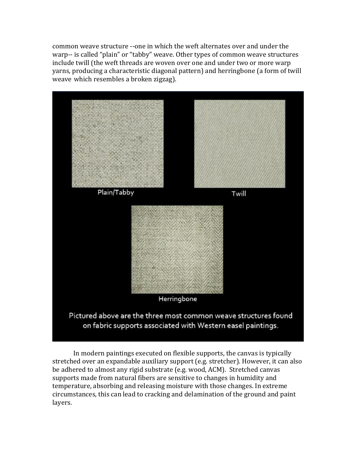common weave structure --one in which the weft alternates over and under the warp-- is called "plain" or "tabby" weave. Other types of common weave structures include twill (the weft threads are woven over one and under two or more warp yarns, producing a characteristic diagonal pattern) and herringbone (a form of twill weave which resembles a broken zigzag).



In modern paintings executed on flexible supports, the canvas is typically stretched over an expandable auxiliary support (e.g. stretcher). However, it can also be adhered to almost any rigid substrate (e.g. wood, ACM). Stretched canvas supports made from natural fibers are sensitive to changes in humidity and temperature, absorbing and releasing moisture with those changes. In extreme circumstances, this can lead to cracking and delamination of the ground and paint layers.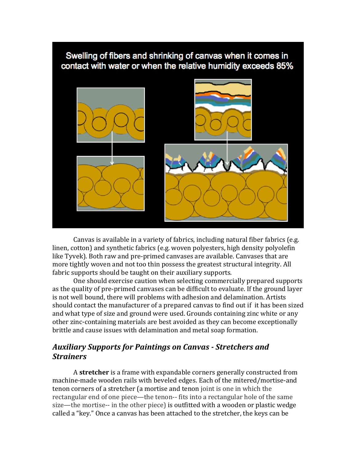

Canvas is available in a variety of fabrics, including natural fiber fabrics (e.g. linen, cotton) and synthetic fabrics (e.g. woven polyesters, high density polyolefin like Tyvek). Both raw and pre-primed canvases are available. Canvases that are more tightly woven and not too thin possess the greatest structural integrity. All fabric supports should be taught on their auxiliary supports.

One should exercise caution when selecting commercially prepared supports as the quality of pre-primed canvases can be difficult to evaluate. If the ground layer is not well bound, there will problems with adhesion and delamination. Artists should contact the manufacturer of a prepared canvas to find out if it has been sized and what type of size and ground were used. Grounds containing zinc white or any other zinc-containing materials are best avoided as they can become exceptionally brittle and cause issues with delamination and metal soap formation.

## *Auxiliary Supports for Paintings on Canvas - Stretchers and Strainers*

A **stretcher** is a frame with expandable corners generally constructed from machine-made wooden rails with beveled edges. Each of the mitered/mortise-and tenon corners of a stretcher (a mortise and tenon joint is one in which the rectangular end of one piece—the tenon-- fits into a rectangular hole of the same size—the mortise-- in the other piece) is outfitted with a wooden or plastic wedge called a "key." Once a canvas has been attached to the stretcher, the keys can be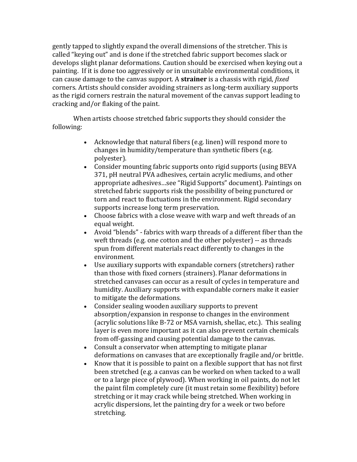gently tapped to slightly expand the overall dimensions of the stretcher. This is called "keying out" and is done if the stretched fabric support becomes slack or develops slight planar deformations. Caution should be exercised when keying out a painting. If it is done too aggressively or in unsuitable environmental conditions, it can cause damage to the canvas support. A **strainer** is a chassis with rigid, *fixed* corners. Artists should consider avoiding strainers as long-term auxiliary supports as the rigid corners restrain the natural movement of the canvas support leading to cracking and/or flaking of the paint.

When artists choose stretched fabric supports they should consider the following:

- Acknowledge that natural fibers (e.g. linen) will respond more to changes in humidity/temperature than synthetic fibers (e.g. polyester).
- Consider mounting fabric supports onto rigid supports (using BEVA 371, pH neutral PVA adhesives, certain acrylic mediums, and other appropriate adhesives…see "Rigid Supports" document). Paintings on stretched fabric supports risk the possibility of being punctured or torn and react to fluctuations in the environment. Rigid secondary supports increase long term preservation.
- Choose fabrics with a close weave with warp and weft threads of an equal weight.
- Avoid "blends" fabrics with warp threads of a different fiber than the weft threads (e.g. one cotton and the other polyester) -- as threads spun from different materials react differently to changes in the environment.
- Use auxiliary supports with expandable corners (stretchers) rather than those with fixed corners (strainers). Planar deformations in stretched canvases can occur as a result of cycles in temperature and humidity. Auxiliary supports with expandable corners make it easier to mitigate the deformations.
- Consider sealing wooden auxiliary supports to prevent absorption/expansion in response to changes in the environment (acrylic solutions like B-72 or MSA varnish, shellac, etc.). This sealing layer is even more important as it can also prevent certain chemicals from off-gassing and causing potential damage to the canvas.
- Consult a conservator when attempting to mitigate planar deformations on canvases that are exceptionally fragile and/or brittle.
- Know that it is possible to paint on a flexible support that has not first been stretched (e.g. a canvas can be worked on when tacked to a wall or to a large piece of plywood). When working in oil paints, do not let the paint film completely cure (it must retain some flexibility) before stretching or it may crack while being stretched. When working in acrylic dispersions, let the painting dry for a week or two before stretching.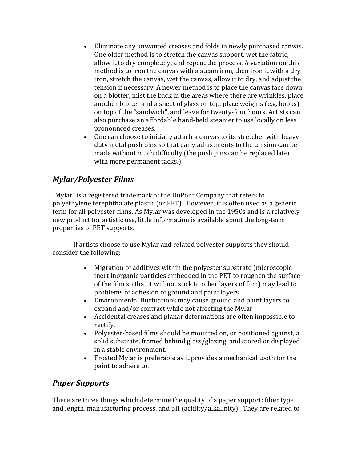- Eliminate any unwanted creases and folds in newly purchased canvas. One older method is to stretch the canvas support, wet the fabric, allow it to dry completely, and repeat the process. A variation on this method is to iron the canvas with a steam iron, then iron it with a dry iron, stretch the canvas, wet the canvas, allow it to dry, and adjust the tension if necessary. A newer method is to place the canvas face down on a blotter, mist the back in the areas where there are wrinkles, place another blotter and a sheet of glass on top, place weights (e.g. books) on top of the "sandwich", and leave for twenty-four hours. Artists can also purchase an affordable hand-held steamer to use locally on less pronounced creases.
- One can choose to initially attach a canvas to its stretcher with heavy duty metal push pins so that early adjustments to the tension can be made without much difficulty (the push pins can be replaced later with more permanent tacks.)

## *Mylar/Polyester Films*

"Mylar" is a registered trademark of the DuPont Company that refers to polyethylene terephthalate plastic (or PET). However, it is often used as a generic term for all polyester films. As Mylar was developed in the 1950s and is a relatively new product for artistic use, little information is available about the long-term properties of PET supports.

If artists choose to use Mylar and related polyester supports they should consider the following:

- Migration of additives within the polyester substrate (microscopic inert inorganic particles embedded in the PET to roughen the surface of the film so that it will not stick to other layers of film) may lead to problems of adhesion of ground and paint layers.
- Environmental fluctuations may cause ground and paint layers to expand and/or contract while not affecting the Mylar
- Accidental creases and planar deformations are often impossible to rectify.
- Polyester-based films should be mounted on, or positioned against, a solid substrate, framed behind glass/glazing, and stored or displayed in a stable environment.
- Frosted Mylar is preferable as it provides a mechanical tooth for the paint to adhere to.

## *Paper Supports*

There are three things which determine the quality of a paper support: fiber type and length, manufacturing process, and pH (acidity/alkalinity). They are related to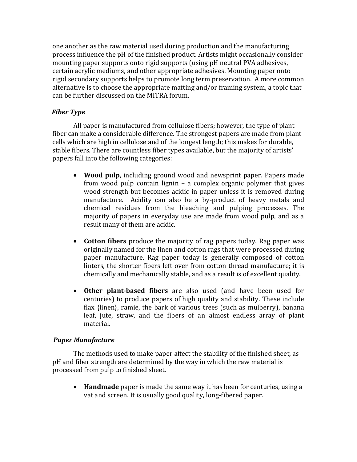one another as the raw material used during production and the manufacturing process influence the pH of the finished product. Artists might occasionally consider mounting paper supports onto rigid supports (using pH neutral PVA adhesives, certain acrylic mediums, and other appropriate adhesives. Mounting paper onto rigid secondary supports helps to promote long term preservation. A more common alternative is to choose the appropriate matting and/or framing system, a topic that can be further discussed on the MITRA forum.

## *Fiber Type*

All paper is manufactured from cellulose fibers; however, the type of plant fiber can make a considerable difference. The strongest papers are made from plant cells which are high in cellulose and of the longest length; this makes for durable, stable fibers. There are countless fiber types available, but the majority of artists' papers fall into the following categories:

- **Wood pulp**, including ground wood and newsprint paper. Papers made from wood pulp contain lignin – a complex organic polymer that gives wood strength but becomes acidic in paper unless it is removed during manufacture. Acidity can also be a by-product of heavy metals and chemical residues from the bleaching and pulping processes. The majority of papers in everyday use are made from wood pulp, and as a result many of them are acidic.
- **Cotton fibers** produce the majority of rag papers today. Rag paper was originally named for the linen and cotton rags that were processed during paper manufacture. Rag paper today is generally composed of cotton linters, the shorter fibers left over from cotton thread manufacture; it is chemically and mechanically stable, and as a result is of excellent quality.
- **Other plant-based fibers** are also used (and have been used for centuries) to produce papers of high quality and stability. These include flax {linen}, ramie, the bark of various trees (such as mulberry), banana leaf, jute, straw, and the fibers of an almost endless array of plant material.

### *Paper Manufacture*

The methods used to make paper affect the stability of the finished sheet, as pH and fiber strength are determined by the way in which the raw material is processed from pulp to finished sheet.

 **Handmade** paper is made the same way it has been for centuries, using a vat and screen. It is usually good quality, long-fibered paper.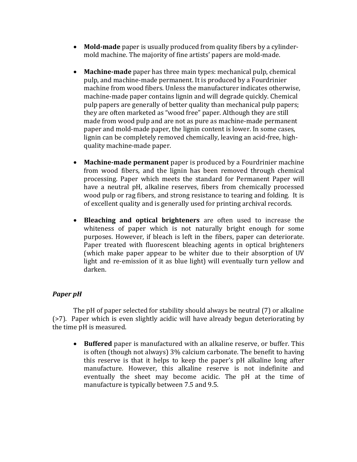- **Mold-made** paper is usually produced from quality fibers by a cylindermold machine. The majority of fine artists' papers are mold-made.
- **Machine-made** paper has three main types: mechanical pulp, chemical pulp, and machine-made permanent. It is produced by a Fourdrinier machine from wood fibers. Unless the manufacturer indicates otherwise, machine-made paper contains lignin and will degrade quickly. Chemical pulp papers are generally of better quality than mechanical pulp papers; they are often marketed as "wood free" paper. Although they are still made from wood pulp and are not as pure as machine-made permanent paper and mold-made paper, the lignin content is lower. In some cases, lignin can be completely removed chemically, leaving an acid-free, highquality machine-made paper.
- **Machine-made permanent** paper is produced by a Fourdrinier machine from wood fibers, and the lignin has been removed through chemical processing. Paper which meets the standard for Permanent Paper will have a neutral pH, alkaline reserves, fibers from chemically processed wood pulp or rag fibers, and strong resistance to tearing and folding. It is of excellent quality and is generally used for printing archival records.
- **Bleaching and optical brighteners** are often used to increase the whiteness of paper which is not naturally bright enough for some purposes. However, if bleach is left in the fibers, paper can deteriorate. Paper treated with fluorescent bleaching agents in optical brighteners (which make paper appear to be whiter due to their absorption of UV light and re-emission of it as blue light) will eventually turn yellow and darken.

## *Paper pH*

The pH of paper selected for stability should always be neutral (7) or alkaline (>7). Paper which is even slightly acidic will have already begun deteriorating by the time pH is measured.

 **Buffered** paper is manufactured with an alkaline reserve, or buffer. This is often (though not always) 3% calcium carbonate. The benefit to having this reserve is that it helps to keep the paper's pH alkaline long after manufacture. However, this alkaline reserve is not indefinite and eventually the sheet may become acidic. The pH at the time of manufacture is typically between 7.5 and 9.5.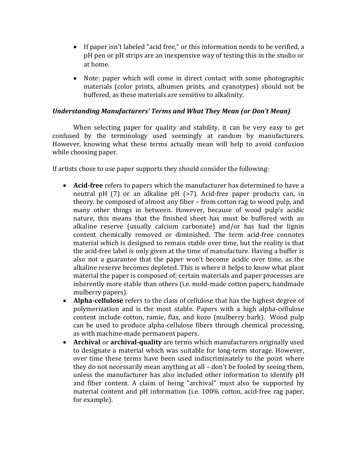- If paper isn't labeled "acid free," or this information needs to be verified, a pH pen or pH strips are an inexpensive way of testing this in the studio or at home.
- Note: paper which will come in direct contact with some photographic materials (color prints, albumen prints, and cyanotypes) should not be buffered, as these materials are sensitive to alkalinity.

### *Understanding Manufacturers' Terms and What They Mean (or Don't Mean)*

When selecting paper for quality and stability, it can be very easy to get confused by the terminology used seemingly at random by manufacturers. However, knowing what these terms actually mean will help to avoid confusion while choosing paper.

If artists chose to use paper supports they should consider the following:

- **Acid-free** refers to papers which the manufacturer has determined to have a neutral pH (7) or an alkaline pH (>7). Acid-free paper products can, in theory. be composed of almost any fiber – from cotton rag to wood pulp, and many other things in between. However, because of wood pulp's acidic nature, this means that the finished sheet has must be buffered with an alkaline reserve (usually calcium carbonate) and/or has had the lignin content chemically removed or diminished. The term acid-free connotes material which is designed to remain stable over time, but the reality is that the acid-free label is only given at the time of manufacture. Having a buffer is also not a guarantee that the paper won't become acidic over time, as the alkaline reserve becomes depleted. This is where it helps to know what plant material the paper is composed of; certain materials and paper processes are inherently more stable than others (i.e. mold-made cotton papers, handmade mulberry papers).
- **Alpha-cellulose** refers to the class of cellulose that has the highest degree of polymerization and is the most stable. Papers with a high alpha-cellulose content include cotton, ramie, flax, and kozo (mulberry bark). Wood pulp can be used to produce alpha-cellulose fibers through chemical processing, as with machine-made permanent papers.
- **Archival** or **archival-quality** are terms which manufacturers originally used to designate a material which was suitable for long-term storage. However, over time these terms have been used indiscriminately to the point where they do not necessarily mean anything at all – don't be fooled by seeing them, unless the manufacturer has also included other information to identify pH and fiber content. A claim of being "archival" must also be supported by material content and pH information (i.e. 100% cotton, acid-free rag paper, for example).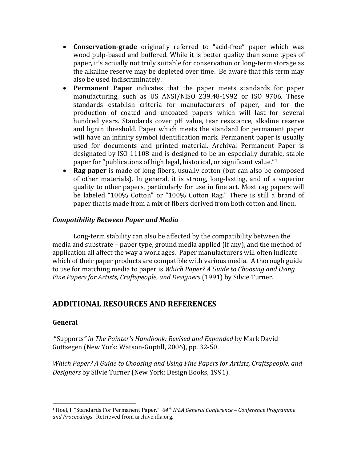- **Conservation-grade** originally referred to "acid-free" paper which was wood pulp-based and buffered. While it is better quality than some types of paper, it's actually not truly suitable for conservation or long-term storage as the alkaline reserve may be depleted over time. Be aware that this term may also be used indiscriminately.
- **Permanent Paper** indicates that the paper meets standards for paper manufacturing, such as US ANSI/NISO Z39.48-1992 or ISO 9706. These standards establish criteria for manufacturers of paper, and for the production of coated and uncoated papers which will last for several hundred years. Standards cover pH value, tear resistance, alkaline reserve and lignin threshold. Paper which meets the standard for permanent paper will have an infinity symbol identification mark. Permanent paper is usually used for documents and printed material. Archival Permanent Paper is designated by ISO 11108 and is designed to be an especially durable, stable paper for "publications of high legal, historical, or significant value."<sup>1</sup>
- **Rag paper** is made of long fibers, usually cotton (but can also be composed of other materials). In general, it is strong, long-lasting, and of a superior quality to other papers, particularly for use in fine art. Most rag papers will be labeled "100% Cotton" or "100% Cotton Rag." There is still a brand of paper that is made from a mix of fibers derived from both cotton and linen.

### *Compatibility Between Paper and Media*

Long-term stability can also be affected by the compatibility between the media and substrate – paper type, ground media applied (if any), and the method of application all affect the way a work ages. Paper manufacturers will often indicate which of their paper products are compatible with various media. A thorough guide to use for matching media to paper is *Which Paper? A Guide to Choosing and Using Fine Papers for Artists, Craftspeople, and Designers* (1991) by Silvie Turner.

## **ADDITIONAL RESOURCES AND REFERENCES**

### **General**

 $\overline{a}$ 

"Supports*" in The Painter's Handbook: Revised and Expanded* by Mark David Gottsegen (New York: Watson-Guptill, 2006), pp. 32-50.

*Which Paper? A Guide to Choosing and Using Fine Papers for Artists, Craftspeople, and Designers* by Silvie Turner (New York: Design Books, 1991).

<sup>1</sup> Hoel, I. "Standards For Permanent Paper." *64th IFLA General Conference – Conference Programme and Proceedings*. Retrieved from archive.ifla.org.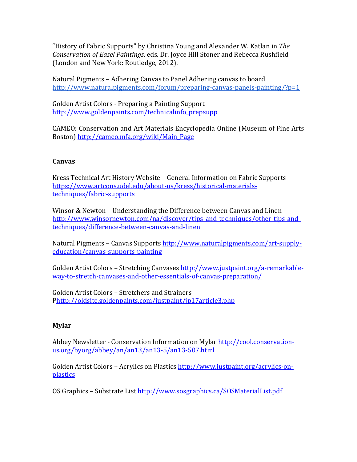"History of Fabric Supports" by Christina Young and Alexander W. Katlan in *The Conservation of Easel Paintings*, eds. Dr. Joyce Hill Stoner and Rebecca Rushfield (London and New York: Routledge, 2012).

Natural Pigments – Adhering Canvas to Panel Adhering canvas to board <http://www.naturalpigments.com/forum/preparing-canvas-panels-painting/?p=1>

Golden Artist Colors - Preparing a Painting Support [http://www.goldenpaints.com/technicalinfo\\_prepsupp](http://www.goldenpaints.com/technicalinfo_prepsupp)

CAMEO: Conservation and Art Materials Encyclopedia Online (Museum of Fine Arts Boston) [http://cameo.mfa.org/wiki/Main\\_Page](http://cameo.mfa.org/wiki/Main_Page)

### **Canvas**

Kress Technical Art History Website – General Information on Fabric Supports [https://www.artcons.udel.edu/about-us/kress/historical-materials](https://www.artcons.udel.edu/about-us/kress/historical-materials-techniques/fabric-supports)[techniques/fabric-supports](https://www.artcons.udel.edu/about-us/kress/historical-materials-techniques/fabric-supports)

Winsor & Newton – Understanding the Difference between Canvas and Linen [http://www.winsornewton.com/na/discover/tips-and-techniques/other-tips-and](http://www.winsornewton.com/na/discover/tips-and-techniques/other-tips-and-techniques/difference-between-canvas-and-linen)[techniques/difference-between-canvas-and-linen](http://www.winsornewton.com/na/discover/tips-and-techniques/other-tips-and-techniques/difference-between-canvas-and-linen)

Natural Pigments - Canvas Support[s http://www.naturalpigments.com/art-supply](http://www.naturalpigments.com/art-supply-education/canvas-supports-painting)[education/canvas-supports-painting](http://www.naturalpigments.com/art-supply-education/canvas-supports-painting)

Golden Artist Colors – Stretching Canvases [http://www.justpaint.org/a-remarkable](http://www.justpaint.org/a-remarkable-way-to-stretch-canvases-and-other-essentials-of-canvas-preparation/)[way-to-stretch-canvases-and-other-essentials-of-canvas-preparation/](http://www.justpaint.org/a-remarkable-way-to-stretch-canvases-and-other-essentials-of-canvas-preparation/) 

Golden Artist Colors – Stretchers and Strainers [Phttp://oldsite.goldenpaints.com/justpaint/jp17article3.php](http://oldsite.goldenpaints.com/justpaint/jp17article3.php)

## **Mylar**

Abbey Newsletter - Conservation Information on Mylar [http://cool.conservation](http://cool.conservation-us.org/byorg/abbey/an/an13/an13-5/an13-507.html)[us.org/byorg/abbey/an/an13/an13-5/an13-507.html](http://cool.conservation-us.org/byorg/abbey/an/an13/an13-5/an13-507.html)

Golden Artist Colors – Acrylics on Plastics [http://www.justpaint.org/acrylics-on](http://www.justpaint.org/acrylics-on-plastics)[plastics](http://www.justpaint.org/acrylics-on-plastics)

OS Graphics - Substrate List<http://www.sosgraphics.ca/SOSMaterialList.pdf>